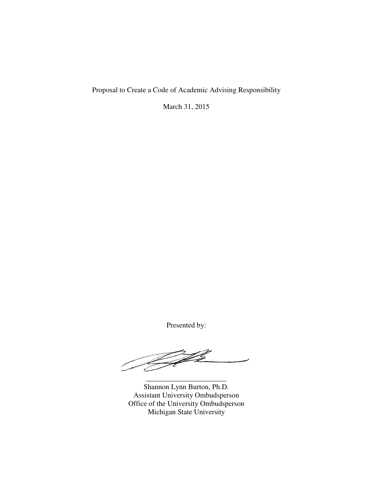Proposal to Create a Code of Academic Advising Responsibility

March 31, 2015

Presented by:

 $\overline{\mathscr{L}}$ 

Shannon Lynn Burton, Ph.D. Assistant University Ombudsperson Office of the University Ombudsperson Michigan State University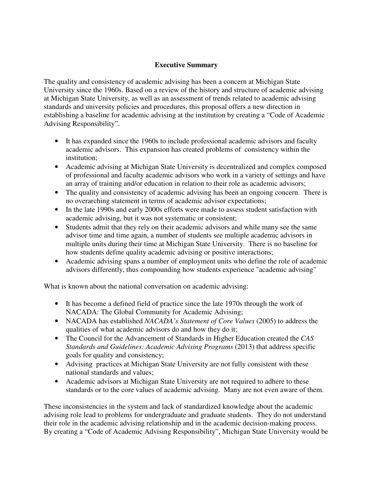## **Executive Summary**

The quality and consistency of academic advising has been a concern at Michigan State University since the 1960s. Based on a review of the history and structure of academic advising at Michigan State University, as well as an assessment of trends related to academic advising standards and university policies and procedures, this proposal offers a new direction in establishing a baseline for academic advising at the institution by creating a "Code of Academic Advising Responsibility".

- It has expanded since the 1960s to include professional academic advisors and faculty academic advisors. This expansion has created problems of consistency within the institution;
- Academic advising at Michigan State University is decentralized and complex composed of professional and faculty academic advisors who work in a variety of settings and have an array of training and/or education in relation to their role as academic advisors;
- The quality and consistency of academic advising has been an ongoing concern. There is no overarching statement in terms of academic advisor expectations;
- In the late 1990s and early 2000s efforts were made to assess student satisfaction with academic advising, but it was not systematic or consistent;
- Students admit that they rely on their academic advisors and while many see the same advisor time and time again, a number of students see multiple academic advisors in multiple units during their time at Michigan State University. There is no baseline for how students define quality academic advising or positive interactions;
- Academic advising spans a number of employment units who define the role of academic advisors differently, thus compounding how students experience "academic advising"

What is known about the national conversation on academic advising:

- It has become a defined field of practice since the late 1970s through the work of NACADA: The Global Community for Academic Advising;
- NACADA has established *NACADA's Statement of Core Values* (2005) to address the qualities of what academic advisors do and how they do it;
- The Council for the Advancement of Standards in Higher Education created the *CAS Standards and Guidelines: Academic Advising Programs* (2013) that address specific goals for quality and consistency;
- Advising practices at Michigan State University are not fully consistent with these national standards and values;
- Academic advisors at Michigan State University are not required to adhere to these standards or to the core values of academic advising. Many are not even aware of them.

These inconsistencies in the system and lack of standardized knowledge about the academic advising role lead to problems for undergraduate and graduate students. They do not understand their role in the academic advising relationship and in the academic decision-making process. By creating a "Code of Academic Advising Responsibility", Michigan State University would be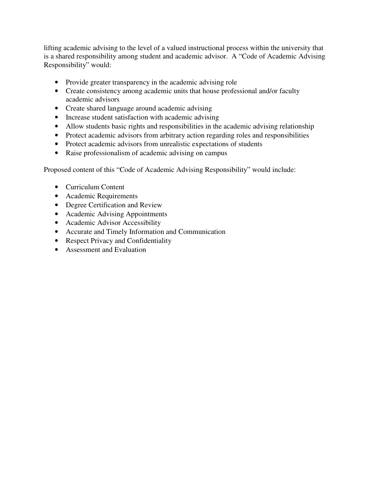lifting academic advising to the level of a valued instructional process within the university that is a shared responsibility among student and academic advisor. A "Code of Academic Advising Responsibility" would:

- Provide greater transparency in the academic advising role
- Create consistency among academic units that house professional and/or faculty academic advisors
- Create shared language around academic advising
- Increase student satisfaction with academic advising
- Allow students basic rights and responsibilities in the academic advising relationship
- Protect academic advisors from arbitrary action regarding roles and responsibilities
- Protect academic advisors from unrealistic expectations of students
- Raise professionalism of academic advising on campus

Proposed content of this "Code of Academic Advising Responsibility" would include:

- Curriculum Content
- Academic Requirements
- Degree Certification and Review
- Academic Advising Appointments
- Academic Advisor Accessibility
- Accurate and Timely Information and Communication
- Respect Privacy and Confidentiality
- Assessment and Evaluation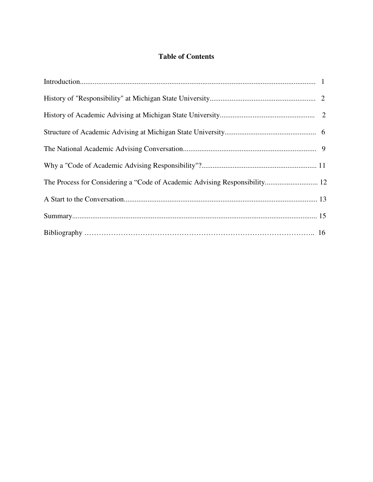# **Table of Contents**

| The Process for Considering a "Code of Academic Advising Responsibility 12 |  |
|----------------------------------------------------------------------------|--|
|                                                                            |  |
|                                                                            |  |
|                                                                            |  |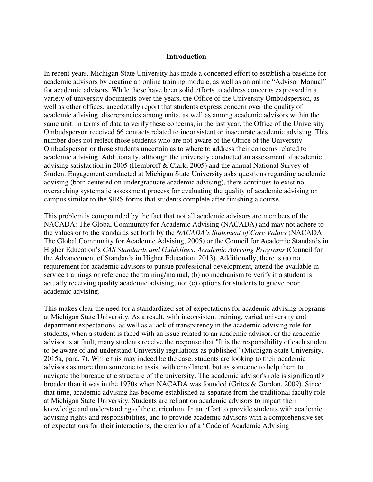#### **Introduction**

In recent years, Michigan State University has made a concerted effort to establish a baseline for academic advisors by creating an online training module, as well as an online "Advisor Manual" for academic advisors. While these have been solid efforts to address concerns expressed in a variety of university documents over the years, the Office of the University Ombudsperson, as well as other offices, anecdotally report that students express concern over the quality of academic advising, discrepancies among units, as well as among academic advisors within the same unit. In terms of data to verify these concerns, in the last year, the Office of the University Ombudsperson received 66 contacts related to inconsistent or inaccurate academic advising. This number does not reflect those students who are not aware of the Office of the University Ombudsperson or those students uncertain as to where to address their concerns related to academic advising. Additionally, although the university conducted an assessment of academic advising satisfaction in 2005 (Hembroff & Clark, 2005) and the annual National Survey of Student Engagement conducted at Michigan State University asks questions regarding academic advising (both centered on undergraduate academic advising), there continues to exist no overarching systematic assessment process for evaluating the quality of academic advising on campus similar to the SIRS forms that students complete after finishing a course.

This problem is compounded by the fact that not all academic advisors are members of the NACADA: The Global Community for Academic Advising (NACADA) and may not adhere to the values or to the standards set forth by the *NACADA's Statement of Core Values* (NACADA: The Global Community for Academic Advising, 2005) or the Council for Academic Standards in Higher Education's *CAS Standards and Guidelines: Academic Advising Programs* (Council for the Advancement of Standards in Higher Education, 2013). Additionally, there is (a) no requirement for academic advisors to pursue professional development, attend the available inservice trainings or reference the training/manual, (b) no mechanism to verify if a student is actually receiving quality academic advising, nor (c) options for students to grieve poor academic advising.

This makes clear the need for a standardized set of expectations for academic advising programs at Michigan State University. As a result, with inconsistent training, varied university and department expectations, as well as a lack of transparency in the academic advising role for students, when a student is faced with an issue related to an academic advisor, or the academic advisor is at fault, many students receive the response that "It is the responsibility of each student to be aware of and understand University regulations as published" (Michigan State University, 2015a, para. 7). While this may indeed be the case, students are looking to their academic advisors as more than someone to assist with enrollment, but as someone to help them to navigate the bureaucratic structure of the university. The academic advisor's role is significantly broader than it was in the 1970s when NACADA was founded (Grites & Gordon, 2009). Since that time, academic advising has become established as separate from the traditional faculty role at Michigan State University. Students are reliant on academic advisors to impart their knowledge and understanding of the curriculum. In an effort to provide students with academic advising rights and responsibilities, and to provide academic advisors with a comprehensive set of expectations for their interactions, the creation of a "Code of Academic Advising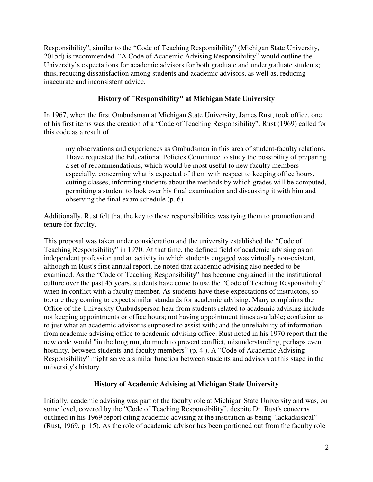Responsibility", similar to the "Code of Teaching Responsibility" (Michigan State University, 2015d) is recommended. "A Code of Academic Advising Responsibility" would outline the University's expectations for academic advisors for both graduate and undergraduate students; thus, reducing dissatisfaction among students and academic advisors, as well as, reducing inaccurate and inconsistent advice.

## **History of "Responsibility" at Michigan State University**

In 1967, when the first Ombudsman at Michigan State University, James Rust, took office, one of his first items was the creation of a "Code of Teaching Responsibility". Rust (1969) called for this code as a result of

my observations and experiences as Ombudsman in this area of student-faculty relations, I have requested the Educational Policies Committee to study the possibility of preparing a set of recommendations, which would be most useful to new faculty members especially, concerning what is expected of them with respect to keeping office hours, cutting classes, informing students about the methods by which grades will be computed, permitting a student to look over his final examination and discussing it with him and observing the final exam schedule (p. 6).

Additionally, Rust felt that the key to these responsibilities was tying them to promotion and tenure for faculty.

This proposal was taken under consideration and the university established the "Code of Teaching Responsibility" in 1970. At that time, the defined field of academic advising as an independent profession and an activity in which students engaged was virtually non-existent, although in Rust's first annual report, he noted that academic advising also needed to be examined. As the "Code of Teaching Responsibility" has become engrained in the institutional culture over the past 45 years, students have come to use the "Code of Teaching Responsibility" when in conflict with a faculty member. As students have these expectations of instructors, so too are they coming to expect similar standards for academic advising. Many complaints the Office of the University Ombudsperson hear from students related to academic advising include not keeping appointments or office hours; not having appointment times available; confusion as to just what an academic advisor is supposed to assist with; and the unreliability of information from academic advising office to academic advising office. Rust noted in his 1970 report that the new code would "in the long run, do much to prevent conflict, misunderstanding, perhaps even hostility, between students and faculty members" (p. 4 ). A "Code of Academic Advising Responsibility" might serve a similar function between students and advisors at this stage in the university's history.

## **History of Academic Advising at Michigan State University**

Initially, academic advising was part of the faculty role at Michigan State University and was, on some level, covered by the "Code of Teaching Responsibility", despite Dr. Rust's concerns outlined in his 1969 report citing academic advising at the institution as being "lackadaisical" (Rust, 1969, p. 15). As the role of academic advisor has been portioned out from the faculty role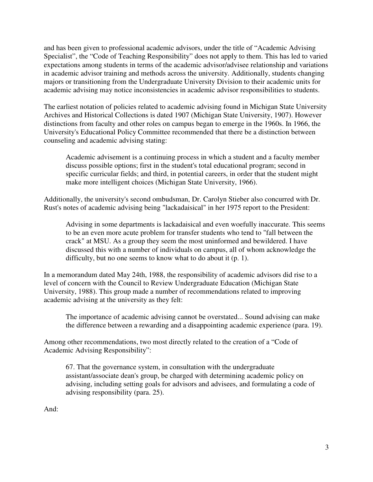and has been given to professional academic advisors, under the title of "Academic Advising Specialist", the "Code of Teaching Responsibility" does not apply to them. This has led to varied expectations among students in terms of the academic advisor/advisee relationship and variations in academic advisor training and methods across the university. Additionally, students changing majors or transitioning from the Undergraduate University Division to their academic units for academic advising may notice inconsistencies in academic advisor responsibilities to students.

The earliest notation of policies related to academic advising found in Michigan State University Archives and Historical Collections is dated 1907 (Michigan State University, 1907). However distinctions from faculty and other roles on campus began to emerge in the 1960s. In 1966, the University's Educational Policy Committee recommended that there be a distinction between counseling and academic advising stating:

 Academic advisement is a continuing process in which a student and a faculty member discuss possible options; first in the student's total educational program; second in specific curricular fields; and third, in potential careers, in order that the student might make more intelligent choices (Michigan State University, 1966).

Additionally, the university's second ombudsman, Dr. Carolyn Stieber also concurred with Dr. Rust's notes of academic advising being "lackadaisical" in her 1975 report to the President:

 Advising in some departments is lackadaisical and even woefully inaccurate. This seems to be an even more acute problem for transfer students who tend to "fall between the crack" at MSU. As a group they seem the most uninformed and bewildered. I have discussed this with a number of individuals on campus, all of whom acknowledge the difficulty, but no one seems to know what to do about it (p. 1).

In a memorandum dated May 24th, 1988, the responsibility of academic advisors did rise to a level of concern with the Council to Review Undergraduate Education (Michigan State University, 1988). This group made a number of recommendations related to improving academic advising at the university as they felt:

 The importance of academic advising cannot be overstated... Sound advising can make the difference between a rewarding and a disappointing academic experience (para. 19).

Among other recommendations, two most directly related to the creation of a "Code of Academic Advising Responsibility":

 67. That the governance system, in consultation with the undergraduate assistant/associate dean's group, be charged with determining academic policy on advising, including setting goals for advisors and advisees, and formulating a code of advising responsibility (para. 25).

And: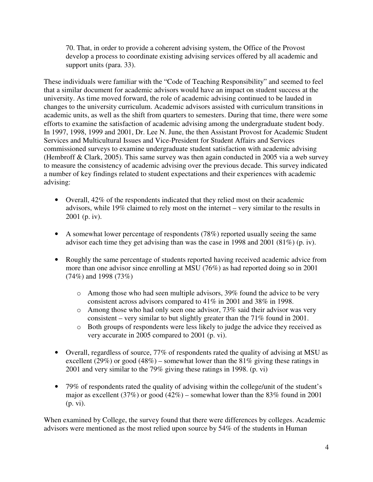70. That, in order to provide a coherent advising system, the Office of the Provost develop a process to coordinate existing advising services offered by all academic and support units (para. 33).

These individuals were familiar with the "Code of Teaching Responsibility" and seemed to feel that a similar document for academic advisors would have an impact on student success at the university. As time moved forward, the role of academic advising continued to be lauded in changes to the university curriculum. Academic advisors assisted with curriculum transitions in academic units, as well as the shift from quarters to semesters. During that time, there were some efforts to examine the satisfaction of academic advising among the undergraduate student body. In 1997, 1998, 1999 and 2001, Dr. Lee N. June, the then Assistant Provost for Academic Student Services and Multicultural Issues and Vice-President for Student Affairs and Services commissioned surveys to examine undergraduate student satisfaction with academic advising (Hembroff & Clark, 2005). This same survey was then again conducted in 2005 via a web survey to measure the consistency of academic advising over the previous decade. This survey indicated a number of key findings related to student expectations and their experiences with academic advising:

- Overall, 42% of the respondents indicated that they relied most on their academic advisors, while 19% claimed to rely most on the internet – very similar to the results in 2001 (p. iv).
- A somewhat lower percentage of respondents (78%) reported usually seeing the same advisor each time they get advising than was the case in 1998 and 2001 (81%) (p. iv).
- Roughly the same percentage of students reported having received academic advice from more than one advisor since enrolling at MSU (76%) as had reported doing so in 2001 (74%) and 1998 (73%)
	- o Among those who had seen multiple advisors, 39% found the advice to be very consistent across advisors compared to 41% in 2001 and 38% in 1998.
	- o Among those who had only seen one advisor, 73% said their advisor was very consistent – very similar to but slightly greater than the 71% found in 2001.
	- o Both groups of respondents were less likely to judge the advice they received as very accurate in 2005 compared to 2001 (p. vi).
- Overall, regardless of source, 77% of respondents rated the quality of advising at MSU as excellent (29%) or good (48%) – somewhat lower than the 81% giving these ratings in 2001 and very similar to the 79% giving these ratings in 1998. (p. vi)
- 79% of respondents rated the quality of advising within the college/unit of the student's major as excellent (37%) or good (42%) – somewhat lower than the 83% found in 2001 (p. vi).

When examined by College, the survey found that there were differences by colleges. Academic advisors were mentioned as the most relied upon source by 54% of the students in Human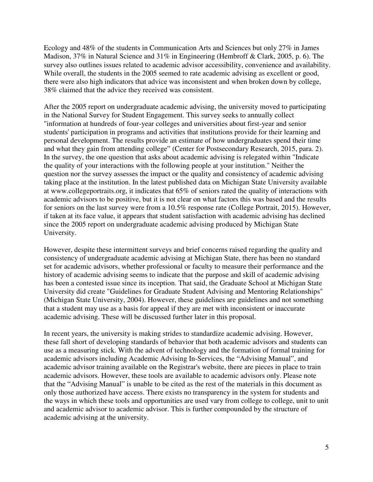Ecology and 48% of the students in Communication Arts and Sciences but only 27% in James Madison, 37% in Natural Science and 31% in Engineering (Hembroff & Clark, 2005, p. 6). The survey also outlines issues related to academic advisor accessibility, convenience and availability. While overall, the students in the 2005 seemed to rate academic advising as excellent or good, there were also high indicators that advice was inconsistent and when broken down by college, 38% claimed that the advice they received was consistent.

After the 2005 report on undergraduate academic advising, the university moved to participating in the National Survey for Student Engagement. This survey seeks to annually collect "information at hundreds of four-year colleges and universities about first-year and senior students' participation in programs and activities that institutions provide for their learning and personal development. The results provide an estimate of how undergraduates spend their time and what they gain from attending college" (Center for Postsecondary Research, 2015, para. 2). In the survey, the one question that asks about academic advising is relegated within "Indicate the quality of your interactions with the following people at your institution." Neither the question nor the survey assesses the impact or the quality and consistency of academic advising taking place at the institution. In the latest published data on Michigan State University available at www.collegeportraits.org, it indicates that 65% of seniors rated the quality of interactions with academic advisors to be positive, but it is not clear on what factors this was based and the results for seniors on the last survey were from a 10.5% response rate (College Portrait, 2015). However, if taken at its face value, it appears that student satisfaction with academic advising has declined since the 2005 report on undergraduate academic advising produced by Michigan State University.

However, despite these intermittent surveys and brief concerns raised regarding the quality and consistency of undergraduate academic advising at Michigan State, there has been no standard set for academic advisors, whether professional or faculty to measure their performance and the history of academic advising seems to indicate that the purpose and skill of academic advising has been a contested issue since its inception. That said, the Graduate School at Michigan State University did create "Guidelines for Graduate Student Advising and Mentoring Relationships" (Michigan State University, 2004). However, these guidelines are guidelines and not something that a student may use as a basis for appeal if they are met with inconsistent or inaccurate academic advising. These will be discussed further later in this proposal.

In recent years, the university is making strides to standardize academic advising. However, these fall short of developing standards of behavior that both academic advisors and students can use as a measuring stick. With the advent of technology and the formation of formal training for academic advisors including Academic Advising In-Services, the "Advising Manual", and academic advisor training available on the Registrar's website, there are pieces in place to train academic advisors. However, these tools are available to academic advisors only. Please note that the "Advising Manual" is unable to be cited as the rest of the materials in this document as only those authorized have access. There exists no transparency in the system for students and the ways in which these tools and opportunities are used vary from college to college, unit to unit and academic advisor to academic advisor. This is further compounded by the structure of academic advising at the university.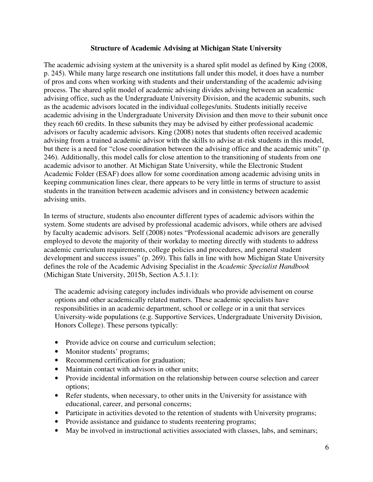### **Structure of Academic Advising at Michigan State University**

The academic advising system at the university is a shared split model as defined by King (2008, p. 245). While many large research one institutions fall under this model, it does have a number of pros and cons when working with students and their understanding of the academic advising process. The shared split model of academic advising divides advising between an academic advising office, such as the Undergraduate University Division, and the academic subunits, such as the academic advisors located in the individual colleges/units. Students initially receive academic advising in the Undergraduate University Division and then move to their subunit once they reach 60 credits. In these subunits they may be advised by either professional academic advisors or faculty academic advisors. King (2008) notes that students often received academic advising from a trained academic advisor with the skills to advise at-risk students in this model, but there is a need for "close coordination between the advising office and the academic units" (p. 246). Additionally, this model calls for close attention to the transitioning of students from one academic advisor to another. At Michigan State University, while the Electronic Student Academic Folder (ESAF) does allow for some coordination among academic advising units in keeping communication lines clear, there appears to be very little in terms of structure to assist students in the transition between academic advisors and in consistency between academic advising units.

In terms of structure, students also encounter different types of academic advisors within the system. Some students are advised by professional academic advisors, while others are advised by faculty academic advisors. Self (2008) notes "Professional academic advisors are generally employed to devote the majority of their workday to meeting directly with students to address academic curriculum requirements, college policies and procedures, and general student development and success issues" (p. 269). This falls in line with how Michigan State University defines the role of the Academic Advising Specialist in the *Academic Specialist Handbook* (Michigan State University, 2015b, Section A.5.1.1):

The academic advising category includes individuals who provide advisement on course options and other academically related matters. These academic specialists have responsibilities in an academic department, school or college or in a unit that services University-wide populations (e.g. Supportive Services, Undergraduate University Division, Honors College). These persons typically:

- Provide advice on course and curriculum selection;
- Monitor students' programs;
- Recommend certification for graduation;
- Maintain contact with advisors in other units:
- Provide incidental information on the relationship between course selection and career options;
- Refer students, when necessary, to other units in the University for assistance with educational, career, and personal concerns;
- Participate in activities devoted to the retention of students with University programs;
- Provide assistance and guidance to students reentering programs;
- May be involved in instructional activities associated with classes, labs, and seminars;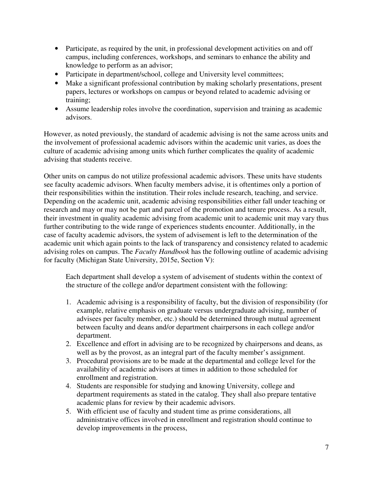- Participate, as required by the unit, in professional development activities on and off campus, including conferences, workshops, and seminars to enhance the ability and knowledge to perform as an advisor;
- Participate in department/school, college and University level committees;
- Make a significant professional contribution by making scholarly presentations, present papers, lectures or workshops on campus or beyond related to academic advising or training;
- Assume leadership roles involve the coordination, supervision and training as academic advisors.

However, as noted previously, the standard of academic advising is not the same across units and the involvement of professional academic advisors within the academic unit varies, as does the culture of academic advising among units which further complicates the quality of academic advising that students receive.

Other units on campus do not utilize professional academic advisors. These units have students see faculty academic advisors. When faculty members advise, it is oftentimes only a portion of their responsibilities within the institution. Their roles include research, teaching, and service. Depending on the academic unit, academic advising responsibilities either fall under teaching or research and may or may not be part and parcel of the promotion and tenure process. As a result, their investment in quality academic advising from academic unit to academic unit may vary thus further contributing to the wide range of experiences students encounter. Additionally, in the case of faculty academic advisors, the system of advisement is left to the determination of the academic unit which again points to the lack of transparency and consistency related to academic advising roles on campus. The *Faculty Handbook* has the following outline of academic advising for faculty (Michigan State University, 2015e, Section V):

Each department shall develop a system of advisement of students within the context of the structure of the college and/or department consistent with the following:

- 1. Academic advising is a responsibility of faculty, but the division of responsibility (for example, relative emphasis on graduate versus undergraduate advising, number of advisees per faculty member, etc.) should be determined through mutual agreement between faculty and deans and/or department chairpersons in each college and/or department.
- 2. Excellence and effort in advising are to be recognized by chairpersons and deans, as well as by the provost, as an integral part of the faculty member's assignment.
- 3. Procedural provisions are to be made at the departmental and college level for the availability of academic advisors at times in addition to those scheduled for enrollment and registration.
- 4. Students are responsible for studying and knowing University, college and department requirements as stated in the catalog. They shall also prepare tentative academic plans for review by their academic advisors.
- 5. With efficient use of faculty and student time as prime considerations, all administrative offices involved in enrollment and registration should continue to develop improvements in the process,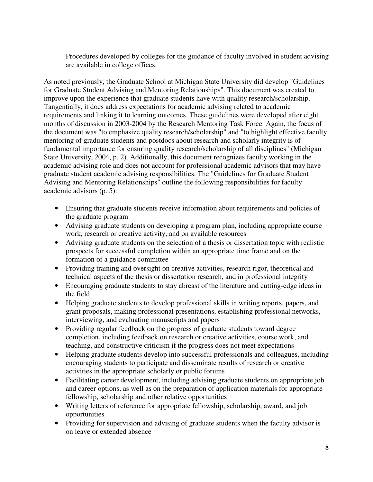Procedures developed by colleges for the guidance of faculty involved in student advising are available in college offices.

As noted previously, the Graduate School at Michigan State University did develop "Guidelines for Graduate Student Advising and Mentoring Relationships". This document was created to improve upon the experience that graduate students have with quality research/scholarship. Tangentially, it does address expectations for academic advising related to academic requirements and linking it to learning outcomes. These guidelines were developed after eight months of discussion in 2003-2004 by the Research Mentoring Task Force. Again, the focus of the document was "to emphasize quality research/scholarship" and "to highlight effective faculty mentoring of graduate students and postdocs about research and scholarly integrity is of fundamental importance for ensuring quality research/scholarship of all disciplines" (Michigan State University, 2004, p. 2). Additionally, this document recognizes faculty working in the academic advising role and does not account for professional academic advisors that may have graduate student academic advising responsibilities. The "Guidelines for Graduate Student Advising and Mentoring Relationships" outline the following responsibilities for faculty academic advisors (p. 5):

- Ensuring that graduate students receive information about requirements and policies of the graduate program
- Advising graduate students on developing a program plan, including appropriate course work, research or creative activity, and on available resources
- Advising graduate students on the selection of a thesis or dissertation topic with realistic prospects for successful completion within an appropriate time frame and on the formation of a guidance committee
- Providing training and oversight on creative activities, research rigor, theoretical and technical aspects of the thesis or dissertation research, and in professional integrity
- Encouraging graduate students to stay abreast of the literature and cutting-edge ideas in the field
- Helping graduate students to develop professional skills in writing reports, papers, and grant proposals, making professional presentations, establishing professional networks, interviewing, and evaluating manuscripts and papers
- Providing regular feedback on the progress of graduate students toward degree completion, including feedback on research or creative activities, course work, and teaching, and constructive criticism if the progress does not meet expectations
- Helping graduate students develop into successful professionals and colleagues, including encouraging students to participate and disseminate results of research or creative activities in the appropriate scholarly or public forums
- Facilitating career development, including advising graduate students on appropriate job and career options, as well as on the preparation of application materials for appropriate fellowship, scholarship and other relative opportunities
- Writing letters of reference for appropriate fellowship, scholarship, award, and job opportunities
- Providing for supervision and advising of graduate students when the faculty advisor is on leave or extended absence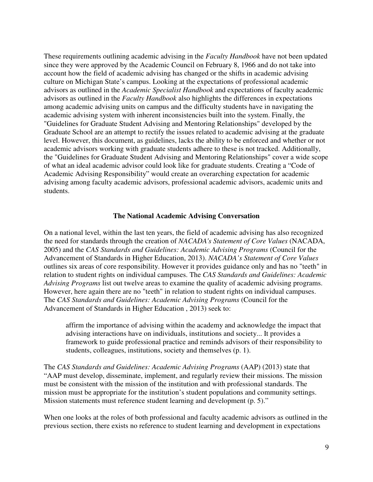These requirements outlining academic advising in the *Faculty Handbook* have not been updated since they were approved by the Academic Council on February 8, 1966 and do not take into account how the field of academic advising has changed or the shifts in academic advising culture on Michigan State's campus. Looking at the expectations of professional academic advisors as outlined in the *Academic Specialist Handbook* and expectations of faculty academic advisors as outlined in the *Faculty Handbook* also highlights the differences in expectations among academic advising units on campus and the difficulty students have in navigating the academic advising system with inherent inconsistencies built into the system. Finally, the "Guidelines for Graduate Student Advising and Mentoring Relationships" developed by the Graduate School are an attempt to rectify the issues related to academic advising at the graduate level. However, this document, as guidelines, lacks the ability to be enforced and whether or not academic advisors working with graduate students adhere to these is not tracked. Additionally, the "Guidelines for Graduate Student Advising and Mentoring Relationships" cover a wide scope of what an ideal academic advisor could look like for graduate students. Creating a "Code of Academic Advising Responsibility" would create an overarching expectation for academic advising among faculty academic advisors, professional academic advisors, academic units and students.

#### **The National Academic Advising Conversation**

On a national level, within the last ten years, the field of academic advising has also recognized the need for standards through the creation of *NACADA's Statement of Core Values* (NACADA, 2005) and the *CAS Standards and Guidelines: Academic Advising Programs* (Council for the Advancement of Standards in Higher Education, 2013). *NACADA's Statement of Core Values* outlines six areas of core responsibility. However it provides guidance only and has no "teeth" in relation to student rights on individual campuses. The *CAS Standards and Guidelines: Academic Advising Programs* list out twelve areas to examine the quality of academic advising programs. However, here again there are no "teeth" in relation to student rights on individual campuses. The *CAS Standards and Guidelines: Academic Advising Programs* (Council for the Advancement of Standards in Higher Education , 2013) seek to:

 affirm the importance of advising within the academy and acknowledge the impact that advising interactions have on individuals, institutions and society... It provides a framework to guide professional practice and reminds advisors of their responsibility to students, colleagues, institutions, society and themselves (p. 1).

The *CAS Standards and Guidelines: Academic Advising Programs* (AAP) (2013) state that "AAP must develop, disseminate, implement, and regularly review their missions. The mission must be consistent with the mission of the institution and with professional standards. The mission must be appropriate for the institution's student populations and community settings. Mission statements must reference student learning and development (p. 5)."

When one looks at the roles of both professional and faculty academic advisors as outlined in the previous section, there exists no reference to student learning and development in expectations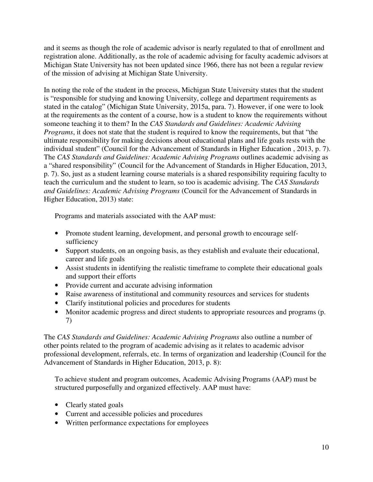and it seems as though the role of academic advisor is nearly regulated to that of enrollment and registration alone. Additionally, as the role of academic advising for faculty academic advisors at Michigan State University has not been updated since 1966, there has not been a regular review of the mission of advising at Michigan State University.

In noting the role of the student in the process, Michigan State University states that the student is "responsible for studying and knowing University, college and department requirements as stated in the catalog" (Michigan State University, 2015a, para. 7). However, if one were to look at the requirements as the content of a course, how is a student to know the requirements without someone teaching it to them? In the *CAS Standards and Guidelines: Academic Advising Programs*, it does not state that the student is required to know the requirements, but that "the ultimate responsibility for making decisions about educational plans and life goals rests with the individual student" (Council for the Advancement of Standards in Higher Education , 2013, p. 7). The *CAS Standards and Guidelines: Academic Advising Programs* outlines academic advising as a "shared responsibility" (Council for the Advancement of Standards in Higher Education, 2013, p. 7). So, just as a student learning course materials is a shared responsibility requiring faculty to teach the curriculum and the student to learn, so too is academic advising. The *CAS Standards and Guidelines: Academic Advising Programs* (Council for the Advancement of Standards in Higher Education, 2013) state:

Programs and materials associated with the AAP must:

- Promote student learning, development, and personal growth to encourage selfsufficiency
- Support students, on an ongoing basis, as they establish and evaluate their educational, career and life goals
- Assist students in identifying the realistic timeframe to complete their educational goals and support their efforts
- Provide current and accurate advising information
- Raise awareness of institutional and community resources and services for students
- Clarify institutional policies and procedures for students
- Monitor academic progress and direct students to appropriate resources and programs (p. 7)

The *CAS Standards and Guidelines: Academic Advising Programs* also outline a number of other points related to the program of academic advising as it relates to academic advisor professional development, referrals, etc. In terms of organization and leadership (Council for the Advancement of Standards in Higher Education, 2013, p. 8):

To achieve student and program outcomes, Academic Advising Programs (AAP) must be structured purposefully and organized effectively. AAP must have:

- Clearly stated goals
- Current and accessible policies and procedures
- Written performance expectations for employees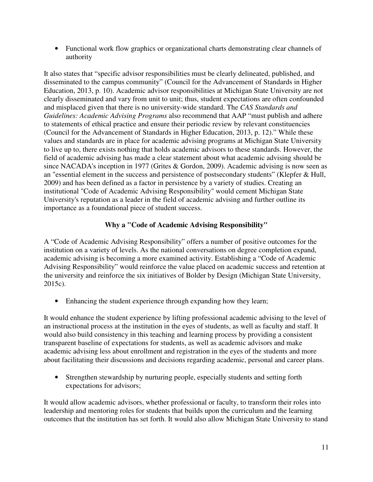• Functional work flow graphics or organizational charts demonstrating clear channels of authority

It also states that "specific advisor responsibilities must be clearly delineated, published, and disseminated to the campus community" (Council for the Advancement of Standards in Higher Education, 2013, p. 10). Academic advisor responsibilities at Michigan State University are not clearly disseminated and vary from unit to unit; thus, student expectations are often confounded and misplaced given that there is no university-wide standard. The *CAS Standards and Guidelines: Academic Advising Programs* also recommend that AAP "must publish and adhere to statements of ethical practice and ensure their periodic review by relevant constituencies (Council for the Advancement of Standards in Higher Education, 2013, p. 12)." While these values and standards are in place for academic advising programs at Michigan State University to live up to, there exists nothing that holds academic advisors to these standards. However, the field of academic advising has made a clear statement about what academic advising should be since NACADA's inception in 1977 (Grites & Gordon, 2009). Academic advising is now seen as an "essential element in the success and persistence of postsecondary students" (Klepfer & Hull, 2009) and has been defined as a factor in persistence by a variety of studies. Creating an institutional "Code of Academic Advising Responsibility" would cement Michigan State University's reputation as a leader in the field of academic advising and further outline its importance as a foundational piece of student success.

# **Why a "Code of Academic Advising Responsibility"**

A "Code of Academic Advising Responsibility" offers a number of positive outcomes for the institution on a variety of levels. As the national conversations on degree completion expand, academic advising is becoming a more examined activity. Establishing a "Code of Academic Advising Responsibility" would reinforce the value placed on academic success and retention at the university and reinforce the six initiatives of Bolder by Design (Michigan State University, 2015c).

• Enhancing the student experience through expanding how they learn;

It would enhance the student experience by lifting professional academic advising to the level of an instructional process at the institution in the eyes of students, as well as faculty and staff. It would also build consistency in this teaching and learning process by providing a consistent transparent baseline of expectations for students, as well as academic advisors and make academic advising less about enrollment and registration in the eyes of the students and more about facilitating their discussions and decisions regarding academic, personal and career plans.

• Strengthen stewardship by nurturing people, especially students and setting forth expectations for advisors;

It would allow academic advisors, whether professional or faculty, to transform their roles into leadership and mentoring roles for students that builds upon the curriculum and the learning outcomes that the institution has set forth. It would also allow Michigan State University to stand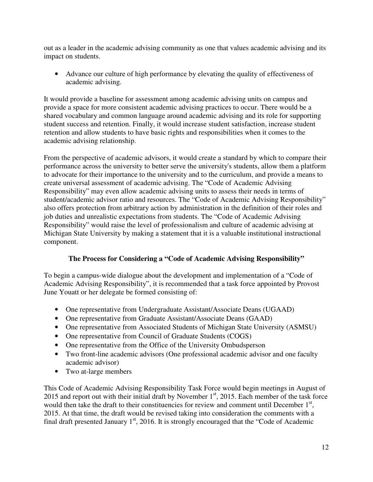out as a leader in the academic advising community as one that values academic advising and its impact on students.

• Advance our culture of high performance by elevating the quality of effectiveness of academic advising.

It would provide a baseline for assessment among academic advising units on campus and provide a space for more consistent academic advising practices to occur. There would be a shared vocabulary and common language around academic advising and its role for supporting student success and retention. Finally, it would increase student satisfaction, increase student retention and allow students to have basic rights and responsibilities when it comes to the academic advising relationship.

From the perspective of academic advisors, it would create a standard by which to compare their performance across the university to better serve the university's students, allow them a platform to advocate for their importance to the university and to the curriculum, and provide a means to create universal assessment of academic advising. The "Code of Academic Advising Responsibility" may even allow academic advising units to assess their needs in terms of student/academic advisor ratio and resources. The "Code of Academic Advising Responsibility" also offers protection from arbitrary action by administration in the definition of their roles and job duties and unrealistic expectations from students. The "Code of Academic Advising Responsibility" would raise the level of professionalism and culture of academic advising at Michigan State University by making a statement that it is a valuable institutional instructional component.

# **The Process for Considering a "Code of Academic Advising Responsibility"**

To begin a campus-wide dialogue about the development and implementation of a "Code of Academic Advising Responsibility", it is recommended that a task force appointed by Provost June Youatt or her delegate be formed consisting of:

- One representative from Undergraduate Assistant/Associate Deans (UGAAD)
- One representative from Graduate Assistant/Associate Deans (GAAD)
- One representative from Associated Students of Michigan State University (ASMSU)
- One representative from Council of Graduate Students (COGS)
- One representative from the Office of the University Ombudsperson
- Two front-line academic advisors (One professional academic advisor and one faculty academic advisor)
- Two at-large members

This Code of Academic Advising Responsibility Task Force would begin meetings in August of 2015 and report out with their initial draft by November  $1<sup>st</sup>$ , 2015. Each member of the task force would then take the draft to their constituencies for review and comment until December  $1<sup>st</sup>$ , 2015. At that time, the draft would be revised taking into consideration the comments with a final draft presented January  $1<sup>st</sup>$ , 2016. It is strongly encouraged that the "Code of Academic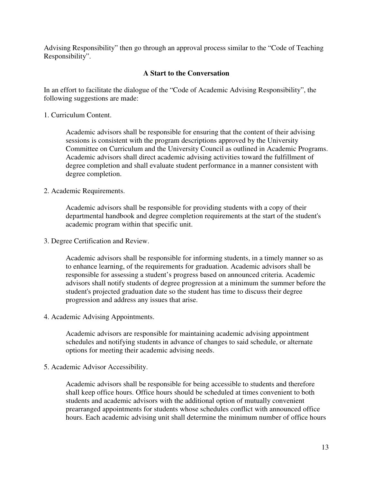Advising Responsibility" then go through an approval process similar to the "Code of Teaching Responsibility".

### **A Start to the Conversation**

In an effort to facilitate the dialogue of the "Code of Academic Advising Responsibility", the following suggestions are made:

1. Curriculum Content.

Academic advisors shall be responsible for ensuring that the content of their advising sessions is consistent with the program descriptions approved by the University Committee on Curriculum and the University Council as outlined in Academic Programs. Academic advisors shall direct academic advising activities toward the fulfillment of degree completion and shall evaluate student performance in a manner consistent with degree completion.

### 2. Academic Requirements.

Academic advisors shall be responsible for providing students with a copy of their departmental handbook and degree completion requirements at the start of the student's academic program within that specific unit.

3. Degree Certification and Review.

Academic advisors shall be responsible for informing students, in a timely manner so as to enhance learning, of the requirements for graduation. Academic advisors shall be responsible for assessing a student's progress based on announced criteria. Academic advisors shall notify students of degree progression at a minimum the summer before the student's projected graduation date so the student has time to discuss their degree progression and address any issues that arise.

4. Academic Advising Appointments.

Academic advisors are responsible for maintaining academic advising appointment schedules and notifying students in advance of changes to said schedule, or alternate options for meeting their academic advising needs.

5. Academic Advisor Accessibility.

Academic advisors shall be responsible for being accessible to students and therefore shall keep office hours. Office hours should be scheduled at times convenient to both students and academic advisors with the additional option of mutually convenient prearranged appointments for students whose schedules conflict with announced office hours. Each academic advising unit shall determine the minimum number of office hours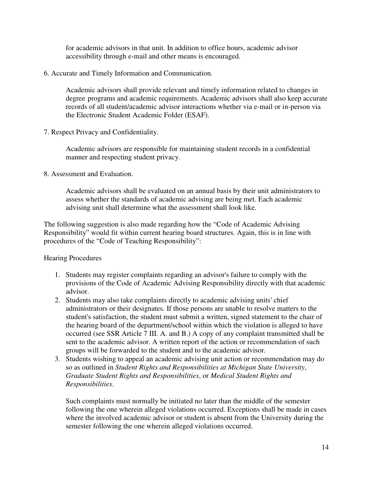for academic advisors in that unit. In addition to office hours, academic advisor accessibility through e-mail and other means is encouraged.

6. Accurate and Timely Information and Communication.

Academic advisors shall provide relevant and timely information related to changes in degree programs and academic requirements. Academic advisors shall also keep accurate records of all student/academic advisor interactions whether via e-mail or in-person via the Electronic Student Academic Folder (ESAF).

7. Respect Privacy and Confidentiality.

Academic advisors are responsible for maintaining student records in a confidential manner and respecting student privacy.

8. Assessment and Evaluation.

Academic advisors shall be evaluated on an annual basis by their unit administrators to assess whether the standards of academic advising are being met. Each academic advising unit shall determine what the assessment shall look like.

The following suggestion is also made regarding how the "Code of Academic Advising Responsibility" would fit within current hearing board structures. Again, this is in line with procedures of the "Code of Teaching Responsibility":

## Hearing Procedures

- 1. Students may register complaints regarding an advisor's failure to comply with the provisions of the Code of Academic Advising Responsibility directly with that academic advisor.
- 2. Students may also take complaints directly to academic advising units' chief administrators or their designates. If those persons are unable to resolve matters to the student's satisfaction, the student must submit a written, signed statement to the chair of the hearing board of the department/school within which the violation is alleged to have occurred (see SSR Article 7 III. A. and B.) A copy of any complaint transmitted shall be sent to the academic advisor. A written report of the action or recommendation of such groups will be forwarded to the student and to the academic advisor.
- 3. Students wishing to appeal an academic advising unit action or recommendation may do so as outlined in *Student Rights and Responsibilities at Michigan State University*, *Graduate Student Rights and Responsibilities*, or *Medical Student Rights and Responsibilities*.

Such complaints must normally be initiated no later than the middle of the semester following the one wherein alleged violations occurred. Exceptions shall be made in cases where the involved academic advisor or student is absent from the University during the semester following the one wherein alleged violations occurred.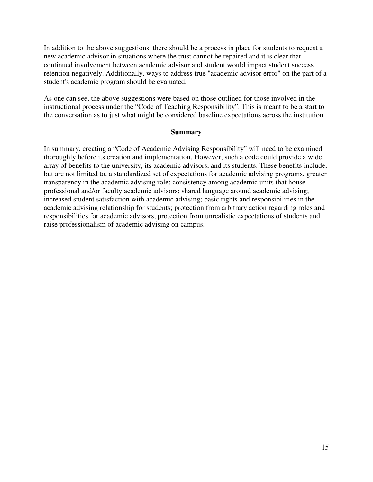In addition to the above suggestions, there should be a process in place for students to request a new academic advisor in situations where the trust cannot be repaired and it is clear that continued involvement between academic advisor and student would impact student success retention negatively. Additionally, ways to address true "academic advisor error" on the part of a student's academic program should be evaluated.

As one can see, the above suggestions were based on those outlined for those involved in the instructional process under the "Code of Teaching Responsibility". This is meant to be a start to the conversation as to just what might be considered baseline expectations across the institution.

### **Summary**

In summary, creating a "Code of Academic Advising Responsibility" will need to be examined thoroughly before its creation and implementation. However, such a code could provide a wide array of benefits to the university, its academic advisors, and its students. These benefits include, but are not limited to, a standardized set of expectations for academic advising programs, greater transparency in the academic advising role; consistency among academic units that house professional and/or faculty academic advisors; shared language around academic advising; increased student satisfaction with academic advising; basic rights and responsibilities in the academic advising relationship for students; protection from arbitrary action regarding roles and responsibilities for academic advisors, protection from unrealistic expectations of students and raise professionalism of academic advising on campus.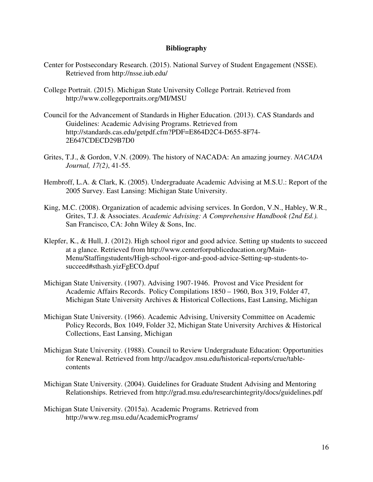#### **Bibliography**

- Center for Postsecondary Research. (2015). National Survey of Student Engagement (NSSE). Retrieved from http://nsse.iub.edu/
- College Portrait. (2015). Michigan State University College Portrait. Retrieved from http://www.collegeportraits.org/MI/MSU
- Council for the Advancement of Standards in Higher Education. (2013). CAS Standards and Guidelines: Academic Advising Programs. Retrieved from http://standards.cas.edu/getpdf.cfm?PDF=E864D2C4-D655-8F74- 2E647CDECD29B7D0
- Grites, T.J., & Gordon, V.N. (2009). The history of NACADA: An amazing journey. *NACADA Journal, 17(2)*, 41-55.
- Hembroff, L.A. & Clark, K. (2005). Undergraduate Academic Advising at M.S.U.: Report of the 2005 Survey. East Lansing: Michigan State University.
- King, M.C. (2008). Organization of academic advising services. In Gordon, V.N., Habley, W.R., Grites, T.J. & Associates. *Academic Advising: A Comprehensive Handbook (2nd Ed.).* San Francisco, CA: John Wiley & Sons, Inc.
- Klepfer, K., & Hull, J. (2012). High school rigor and good advice. Setting up students to succeed at a glance. Retrieved from http://www.centerforpubliceducation.org/Main-Menu/Staffingstudents/High-school-rigor-and-good-advice-Setting-up-students-tosucceed#sthash.yizFgECO.dpuf
- Michigan State University. (1907). Advising 1907-1946. Provost and Vice President for Academic Affairs Records. Policy Compilations 1850 – 1960, Box 319, Folder 47, Michigan State University Archives & Historical Collections, East Lansing, Michigan
- Michigan State University. (1966). Academic Advising, University Committee on Academic Policy Records, Box 1049, Folder 32, Michigan State University Archives & Historical Collections, East Lansing, Michigan
- Michigan State University. (1988). Council to Review Undergraduate Education: Opportunities for Renewal. Retrieved from http://acadgov.msu.edu/historical-reports/crue/tablecontents
- Michigan State University. (2004). Guidelines for Graduate Student Advising and Mentoring Relationships. Retrieved from http://grad.msu.edu/researchintegrity/docs/guidelines.pdf
- Michigan State University. (2015a). Academic Programs. Retrieved from http://www.reg.msu.edu/AcademicPrograms/